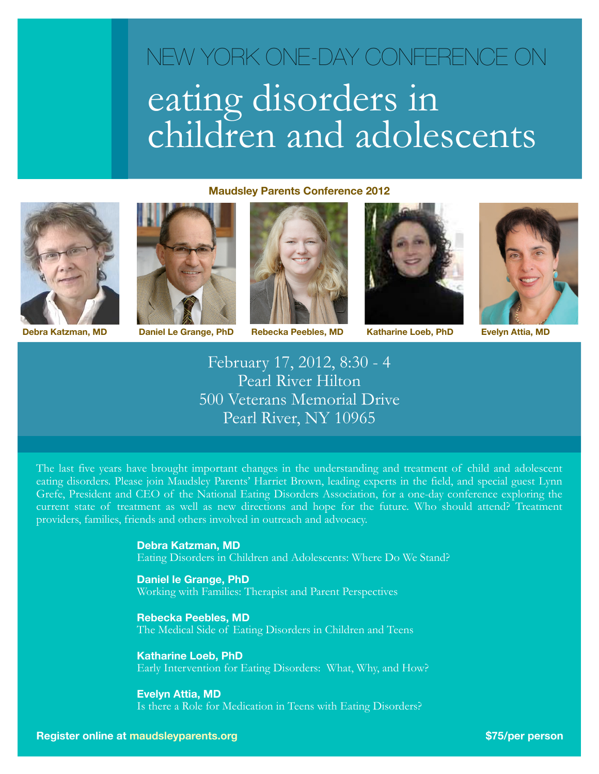# eating disorders in children and adolescents NEW YORK ONE-DAY CONFERENCE ON

### **Maudsley Parents Conference 2012**







**Debra Katzman, MD Daniel Le Grange, PhD Rebecka Peebles, MD Katharine Loeb, PhD**





**Evelyn Attia, MD**

February 17, 2012, 8:30 - 4 Pearl River Hilton 500 Veterans Memorial Drive Pearl River, NY 10965

The last five years have brought important changes in the understanding and treatment of child and adolescent eating disorders. Please join Maudsley Parents' Harriet Brown, leading experts in the field, and special guest Lynn Grefe, President and CEO of the National Eating Disorders Association, for a one-day conference exploring the current state of treatment as well as new directions and hope for the future. Who should attend? Treatment providers, families, friends and others involved in outreach and advocacy.

### **Debra Katzman, MD**

Eating Disorders in Children and Adolescents: Where Do We Stand?

### **Daniel le Grange, PhD**

Working with Families: Therapist and Parent Perspectives

### **Rebecka Peebles, MD**

The Medical Side of Eating Disorders in Children and Teens

### **Katharine Loeb, PhD**

Early Intervention for Eating Disorders: What, Why, and How?

### **Evelyn Attia, MD**

Is there a Role for Medication in Teens with Eating Disorders?